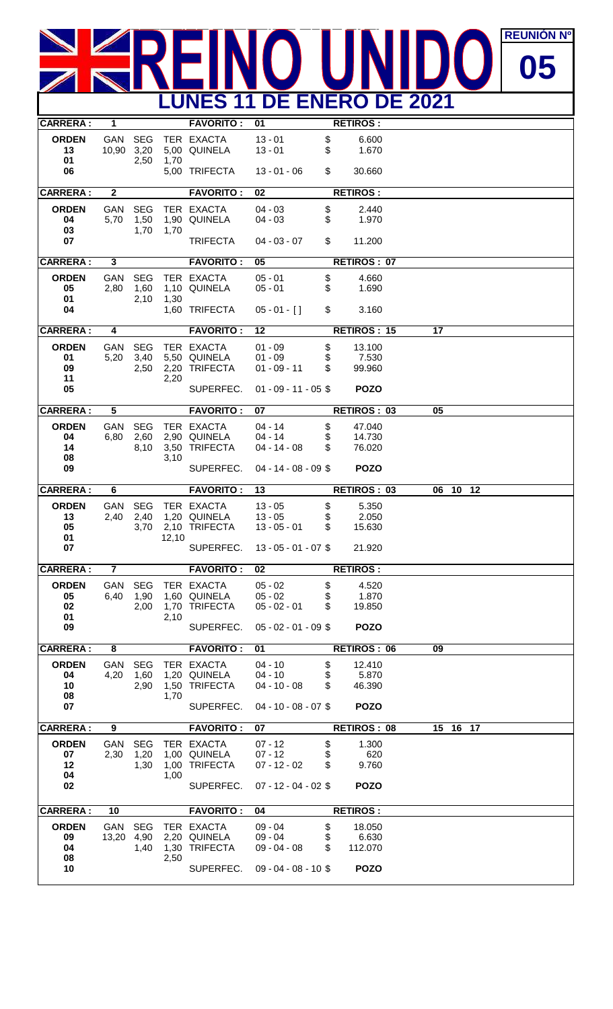## $\frac{N}{N}$ **REUNIÓN DE REUNIÓN PREUNIÓN PREUNIÓN PREUNIÓN PREUNIÓN PREUNIÓN PREUNIÓN PREUNIÓN PREUNIÓN PREUNIÓN PREUNIÓN PR** R  $\overline{\phantom{a}}$  **LUNES 11 DE ENERO DE 2021**

| <b>CARRERA:</b>                      | 1                     |                            |       | <b>FAVORITO:</b>                                         | 01                                                                 |                | <b>RETIROS:</b>                           |    |                    |  |  |
|--------------------------------------|-----------------------|----------------------------|-------|----------------------------------------------------------|--------------------------------------------------------------------|----------------|-------------------------------------------|----|--------------------|--|--|
| <b>ORDEN</b><br>13<br>01             | GAN SEG<br>10,90 3,20 | 2,50                       | 1,70  | TER EXACTA<br>5,00 QUINELA                               | $13 - 01$<br>$13 - 01$                                             | \$<br>\$       | 6.600<br>1.670                            |    |                    |  |  |
| 06                                   |                       |                            |       | 5,00 TRIFECTA                                            | $13 - 01 - 06$                                                     | \$             | 30.660                                    |    |                    |  |  |
| <b>CARRERA:</b>                      | $\overline{2}$        |                            |       | <b>FAVORITO:</b>                                         | 02                                                                 |                | <b>RETIROS:</b>                           |    |                    |  |  |
| <b>ORDEN</b><br>04<br>03             | GAN<br>5,70           | <b>SEG</b><br>1,50<br>1,70 | 1,70  | TER EXACTA<br>1,90 QUINELA                               | $04 - 03$<br>$04 - 03$                                             | \$<br>\$       | 2.440<br>1.970                            |    |                    |  |  |
| 07                                   |                       |                            |       | <b>TRIFECTA</b>                                          | $04 - 03 - 07$                                                     | \$             | 11.200                                    |    |                    |  |  |
| <b>CARRERA:</b>                      | 3                     |                            |       | <b>FAVORITO:</b>                                         | 05                                                                 |                | <b>RETIROS: 07</b>                        |    |                    |  |  |
| <b>ORDEN</b><br>05<br>01<br>04       | GAN<br>2,80           | <b>SEG</b><br>1,60<br>2,10 | 1,30  | TER EXACTA<br>1,10 QUINELA<br>1,60 TRIFECTA              | $05 - 01$<br>$05 - 01$<br>$05 - 01 -$ []                           | \$<br>\$<br>\$ | 4.660<br>1.690<br>3.160                   |    |                    |  |  |
|                                      |                       |                            |       |                                                          |                                                                    |                |                                           |    |                    |  |  |
| <b>CARRERA:</b>                      | 4                     |                            |       | <b>FAVORITO:</b>                                         | 12                                                                 |                | <b>RETIROS: 15</b>                        | 17 |                    |  |  |
| <b>ORDEN</b><br>01<br>09<br>11<br>05 | GAN<br>5,20           | <b>SEG</b><br>3,40<br>2,50 | 2,20  | TER EXACTA<br>5,50 QUINELA<br>2,20 TRIFECTA<br>SUPERFEC. | $01 - 09$<br>$01 - 09$<br>$01 - 09 - 11$<br>$01 - 09 - 11 - 05$ \$ | \$<br>\$<br>\$ | 13.100<br>7.530<br>99.960<br><b>POZO</b>  |    |                    |  |  |
| <b>CARRERA:</b>                      | $\overline{5}$        |                            |       | <b>FAVORITO:</b>                                         | 07                                                                 |                | <b>RETIROS: 03</b>                        | 05 |                    |  |  |
| <b>ORDEN</b><br>04<br>14<br>08<br>09 | GAN<br>6,80           | <b>SEG</b><br>2,60<br>8,10 | 3,10  | TER EXACTA<br>2,90 QUINELA<br>3,50 TRIFECTA<br>SUPERFEC. | $04 - 14$<br>$04 - 14$<br>$04 - 14 - 08$<br>$04 - 14 - 08 - 09$ \$ | \$<br>\$<br>\$ | 47.040<br>14.730<br>76.020<br><b>POZO</b> |    |                    |  |  |
| <b>CARRERA:</b>                      | 6                     |                            |       | <b>FAVORITO:</b>                                         | 13                                                                 |                | <b>RETIROS: 03</b>                        | 06 | $10 \overline{12}$ |  |  |
| <b>ORDEN</b><br>13<br>05<br>01<br>07 | GAN<br>2,40           | <b>SEG</b><br>2,40<br>3,70 | 12,10 | TER EXACTA<br>1,20 QUINELA<br>2,10 TRIFECTA<br>SUPERFEC. | $13 - 05$<br>$13 - 05$<br>$13 - 05 - 01$<br>$13 - 05 - 01 - 07$ \$ | \$<br>\$<br>\$ | 5.350<br>2.050<br>15.630<br>21.920        |    |                    |  |  |
| <b>CARRERA:</b>                      | $\overline{7}$        |                            |       | <b>FAVORITO:</b>                                         | $\overline{02}$                                                    |                | <b>RETIROS:</b>                           |    |                    |  |  |
| <b>ORDEN</b><br>05<br>02<br>01<br>09 | GAN<br>6,40           | <b>SEG</b><br>1,90<br>2,00 | 2,10  | TER EXACTA<br>1,60 QUINELA<br>1,70 TRIFECTA<br>SUPERFEC. | $05 - 02$<br>$05 - 02$<br>$05 - 02 - 01$<br>$05 - 02 - 01 - 09$ \$ | \$<br>\$<br>\$ | 4.520<br>1.870<br>19.850<br><b>POZO</b>   |    |                    |  |  |
| <b>CARRERA:</b>                      | 8                     |                            |       | <b>FAVORITO:</b>                                         | 01                                                                 |                | <b>RETIROS: 06</b>                        | 09 |                    |  |  |
| <b>ORDEN</b><br>04<br>10<br>08<br>07 | GAN<br>4,20           | <b>SEG</b><br>1,60<br>2,90 | 1,70  | TER EXACTA<br>1,20 QUINELA<br>1,50 TRIFECTA<br>SUPERFEC. | $04 - 10$<br>$04 - 10$<br>$04 - 10 - 08$<br>$04 - 10 - 08 - 07$ \$ | \$<br>\$<br>\$ | 12.410<br>5.870<br>46.390<br><b>POZO</b>  |    |                    |  |  |
| <b>CARRERA:</b>                      | $\overline{9}$        |                            |       | <b>FAVORITO:</b>                                         | 07                                                                 |                | <b>RETIROS: 08</b>                        |    | 15 16 17           |  |  |
| <b>ORDEN</b><br>07<br>12<br>04<br>02 | GAN<br>2,30           | <b>SEG</b><br>1,20<br>1,30 | 1,00  | TER EXACTA<br>1,00 QUINELA<br>1,00 TRIFECTA<br>SUPERFEC. | $07 - 12$<br>$07 - 12$<br>$07 - 12 - 02$<br>$07 - 12 - 04 - 02$ \$ | \$<br>\$<br>\$ | 1.300<br>620<br>9.760<br><b>POZO</b>      |    |                    |  |  |
| <b>CARRERA:</b>                      | 10                    |                            |       | <b>FAVORITO:</b>                                         | 04                                                                 |                | <b>RETIROS:</b>                           |    |                    |  |  |
| <b>ORDEN</b><br>09<br>04<br>08<br>10 | GAN<br>13,20          | <b>SEG</b><br>4,90<br>1,40 | 2,50  | TER EXACTA<br>2,20 QUINELA<br>1,30 TRIFECTA<br>SUPERFEC. | $09 - 04$<br>$09 - 04$<br>$09 - 04 - 08$<br>$09 - 04 - 08 - 10$ \$ | \$<br>\$<br>\$ | 18.050<br>6.630<br>112.070<br><b>POZO</b> |    |                    |  |  |